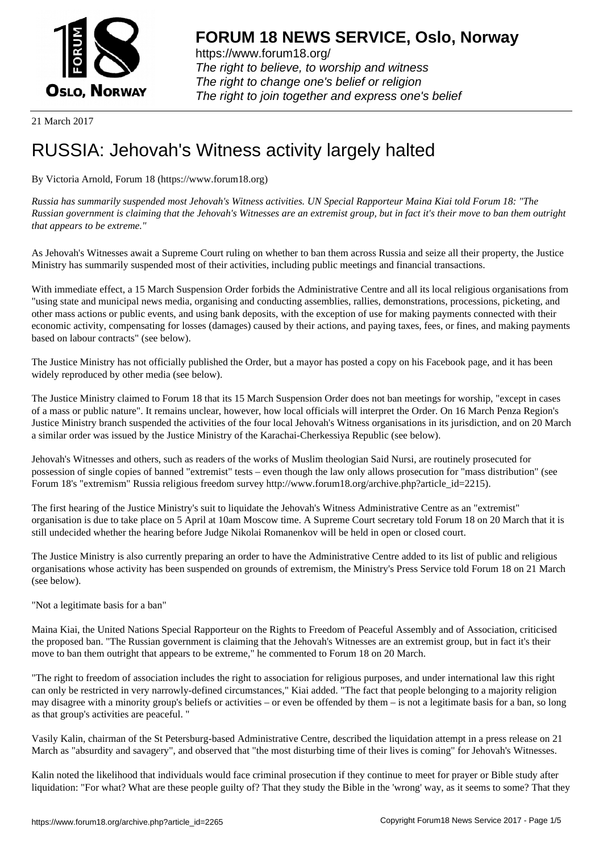

https://www.forum18.org/ The right to believe, to worship and witness The right to change one's belief or religion [The right to join together a](https://www.forum18.org/)nd express one's belief

21 March 2017

# [RUSSIA: Jehov](https://www.forum18.org)ah's Witness activity largely halted

By Victoria Arnold, Forum 18 (https://www.forum18.org)

*Russia has summarily suspended most Jehovah's Witness activities. UN Special Rapporteur Maina Kiai told Forum 18: "The Russian government is claiming that the Jehovah's Witnesses are an extremist group, but in fact it's their move to ban them outright that appears to be extreme."*

As Jehovah's Witnesses await a Supreme Court ruling on whether to ban them across Russia and seize all their property, the Justice Ministry has summarily suspended most of their activities, including public meetings and financial transactions.

With immediate effect, a 15 March Suspension Order forbids the Administrative Centre and all its local religious organisations from "using state and municipal news media, organising and conducting assemblies, rallies, demonstrations, processions, picketing, and other mass actions or public events, and using bank deposits, with the exception of use for making payments connected with their economic activity, compensating for losses (damages) caused by their actions, and paying taxes, fees, or fines, and making payments based on labour contracts" (see below).

The Justice Ministry has not officially published the Order, but a mayor has posted a copy on his Facebook page, and it has been widely reproduced by other media (see below).

The Justice Ministry claimed to Forum 18 that its 15 March Suspension Order does not ban meetings for worship, "except in cases of a mass or public nature". It remains unclear, however, how local officials will interpret the Order. On 16 March Penza Region's Justice Ministry branch suspended the activities of the four local Jehovah's Witness organisations in its jurisdiction, and on 20 March a similar order was issued by the Justice Ministry of the Karachai-Cherkessiya Republic (see below).

Jehovah's Witnesses and others, such as readers of the works of Muslim theologian Said Nursi, are routinely prosecuted for possession of single copies of banned "extremist" tests – even though the law only allows prosecution for "mass distribution" (see Forum 18's "extremism" Russia religious freedom survey http://www.forum18.org/archive.php?article\_id=2215).

The first hearing of the Justice Ministry's suit to liquidate the Jehovah's Witness Administrative Centre as an "extremist" organisation is due to take place on 5 April at 10am Moscow time. A Supreme Court secretary told Forum 18 on 20 March that it is still undecided whether the hearing before Judge Nikolai Romanenkov will be held in open or closed court.

The Justice Ministry is also currently preparing an order to have the Administrative Centre added to its list of public and religious organisations whose activity has been suspended on grounds of extremism, the Ministry's Press Service told Forum 18 on 21 March (see below).

"Not a legitimate basis for a ban"

Maina Kiai, the United Nations Special Rapporteur on the Rights to Freedom of Peaceful Assembly and of Association, criticised the proposed ban. "The Russian government is claiming that the Jehovah's Witnesses are an extremist group, but in fact it's their move to ban them outright that appears to be extreme," he commented to Forum 18 on 20 March.

"The right to freedom of association includes the right to association for religious purposes, and under international law this right can only be restricted in very narrowly-defined circumstances," Kiai added. "The fact that people belonging to a majority religion may disagree with a minority group's beliefs or activities – or even be offended by them – is not a legitimate basis for a ban, so long as that group's activities are peaceful. "

Vasily Kalin, chairman of the St Petersburg-based Administrative Centre, described the liquidation attempt in a press release on 21 March as "absurdity and savagery", and observed that "the most disturbing time of their lives is coming" for Jehovah's Witnesses.

Kalin noted the likelihood that individuals would face criminal prosecution if they continue to meet for prayer or Bible study after liquidation: "For what? What are these people guilty of? That they study the Bible in the 'wrong' way, as it seems to some? That they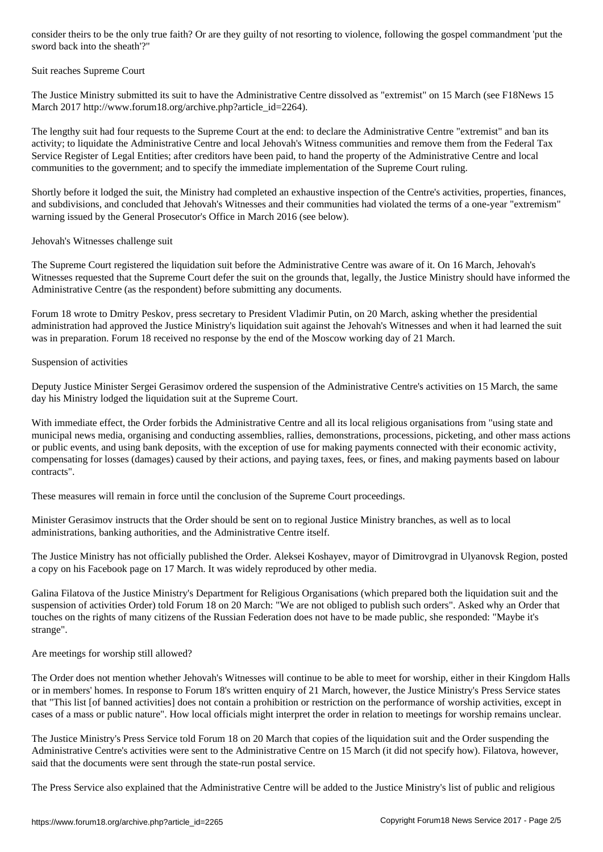#### Suit reaches Supreme Court

The Justice Ministry submitted its suit to have the Administrative Centre dissolved as "extremist" on 15 March (see F18News 15 March 2017 http://www.forum18.org/archive.php?article\_id=2264).

The lengthy suit had four requests to the Supreme Court at the end: to declare the Administrative Centre "extremist" and ban its activity; to liquidate the Administrative Centre and local Jehovah's Witness communities and remove them from the Federal Tax Service Register of Legal Entities; after creditors have been paid, to hand the property of the Administrative Centre and local communities to the government; and to specify the immediate implementation of the Supreme Court ruling.

Shortly before it lodged the suit, the Ministry had completed an exhaustive inspection of the Centre's activities, properties, finances, and subdivisions, and concluded that Jehovah's Witnesses and their communities had violated the terms of a one-year "extremism" warning issued by the General Prosecutor's Office in March 2016 (see below).

#### Jehovah's Witnesses challenge suit

The Supreme Court registered the liquidation suit before the Administrative Centre was aware of it. On 16 March, Jehovah's Witnesses requested that the Supreme Court defer the suit on the grounds that, legally, the Justice Ministry should have informed the Administrative Centre (as the respondent) before submitting any documents.

Forum 18 wrote to Dmitry Peskov, press secretary to President Vladimir Putin, on 20 March, asking whether the presidential administration had approved the Justice Ministry's liquidation suit against the Jehovah's Witnesses and when it had learned the suit was in preparation. Forum 18 received no response by the end of the Moscow working day of 21 March.

### Suspension of activities

Deputy Justice Minister Sergei Gerasimov ordered the suspension of the Administrative Centre's activities on 15 March, the same day his Ministry lodged the liquidation suit at the Supreme Court.

With immediate effect, the Order forbids the Administrative Centre and all its local religious organisations from "using state and municipal news media, organising and conducting assemblies, rallies, demonstrations, processions, picketing, and other mass actions or public events, and using bank deposits, with the exception of use for making payments connected with their economic activity, compensating for losses (damages) caused by their actions, and paying taxes, fees, or fines, and making payments based on labour contracts".

These measures will remain in force until the conclusion of the Supreme Court proceedings.

Minister Gerasimov instructs that the Order should be sent on to regional Justice Ministry branches, as well as to local administrations, banking authorities, and the Administrative Centre itself.

The Justice Ministry has not officially published the Order. Aleksei Koshayev, mayor of Dimitrovgrad in Ulyanovsk Region, posted a copy on his Facebook page on 17 March. It was widely reproduced by other media.

Galina Filatova of the Justice Ministry's Department for Religious Organisations (which prepared both the liquidation suit and the suspension of activities Order) told Forum 18 on 20 March: "We are not obliged to publish such orders". Asked why an Order that touches on the rights of many citizens of the Russian Federation does not have to be made public, she responded: "Maybe it's strange".

Are meetings for worship still allowed?

The Order does not mention whether Jehovah's Witnesses will continue to be able to meet for worship, either in their Kingdom Halls or in members' homes. In response to Forum 18's written enquiry of 21 March, however, the Justice Ministry's Press Service states that "This list [of banned activities] does not contain a prohibition or restriction on the performance of worship activities, except in cases of a mass or public nature". How local officials might interpret the order in relation to meetings for worship remains unclear.

The Justice Ministry's Press Service told Forum 18 on 20 March that copies of the liquidation suit and the Order suspending the Administrative Centre's activities were sent to the Administrative Centre on 15 March (it did not specify how). Filatova, however, said that the documents were sent through the state-run postal service.

The Press Service also explained that the Administrative Centre will be added to the Justice Ministry's list of public and religious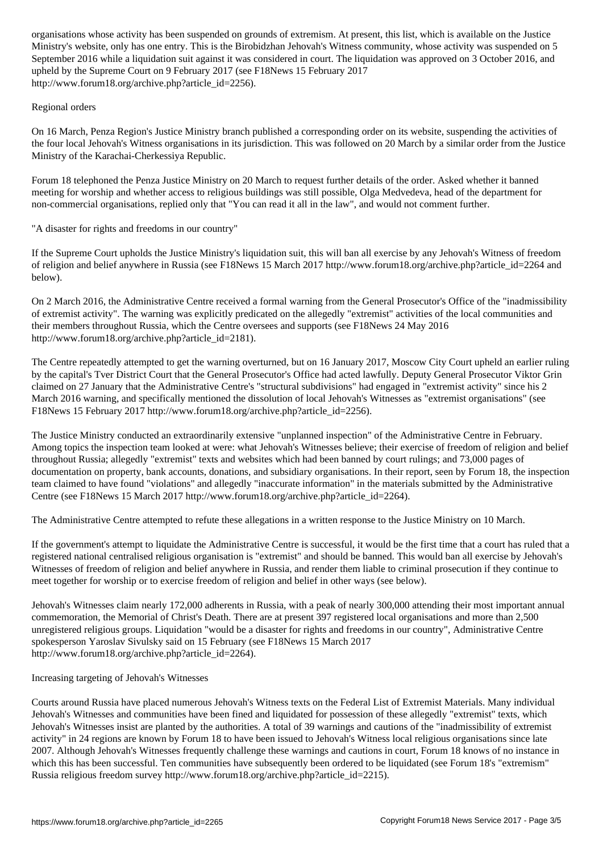Ministry's website, only has one entry. This is the Birobidzhan Jehovah's Witness community, whose activity was suspended on 5 September 2016 while a liquidation suit against it was considered in court. The liquidation was approved on 3 October 2016, and upheld by the Supreme Court on 9 February 2017 (see F18News 15 February 2017 http://www.forum18.org/archive.php?article\_id=2256).

## Regional orders

On 16 March, Penza Region's Justice Ministry branch published a corresponding order on its website, suspending the activities of the four local Jehovah's Witness organisations in its jurisdiction. This was followed on 20 March by a similar order from the Justice Ministry of the Karachai-Cherkessiya Republic.

Forum 18 telephoned the Penza Justice Ministry on 20 March to request further details of the order. Asked whether it banned meeting for worship and whether access to religious buildings was still possible, Olga Medvedeva, head of the department for non-commercial organisations, replied only that "You can read it all in the law", and would not comment further.

# "A disaster for rights and freedoms in our country"

If the Supreme Court upholds the Justice Ministry's liquidation suit, this will ban all exercise by any Jehovah's Witness of freedom of religion and belief anywhere in Russia (see F18News 15 March 2017 http://www.forum18.org/archive.php?article\_id=2264 and below).

On 2 March 2016, the Administrative Centre received a formal warning from the General Prosecutor's Office of the "inadmissibility of extremist activity". The warning was explicitly predicated on the allegedly "extremist" activities of the local communities and their members throughout Russia, which the Centre oversees and supports (see F18News 24 May 2016 http://www.forum18.org/archive.php?article\_id=2181).

The Centre repeatedly attempted to get the warning overturned, but on 16 January 2017, Moscow City Court upheld an earlier ruling by the capital's Tver District Court that the General Prosecutor's Office had acted lawfully. Deputy General Prosecutor Viktor Grin claimed on 27 January that the Administrative Centre's "structural subdivisions" had engaged in "extremist activity" since his 2 March 2016 warning, and specifically mentioned the dissolution of local Jehovah's Witnesses as "extremist organisations" (see F18News 15 February 2017 http://www.forum18.org/archive.php?article\_id=2256).

The Justice Ministry conducted an extraordinarily extensive "unplanned inspection" of the Administrative Centre in February. Among topics the inspection team looked at were: what Jehovah's Witnesses believe; their exercise of freedom of religion and belief throughout Russia; allegedly "extremist" texts and websites which had been banned by court rulings; and 73,000 pages of documentation on property, bank accounts, donations, and subsidiary organisations. In their report, seen by Forum 18, the inspection team claimed to have found "violations" and allegedly "inaccurate information" in the materials submitted by the Administrative Centre (see F18News 15 March 2017 http://www.forum18.org/archive.php?article\_id=2264).

The Administrative Centre attempted to refute these allegations in a written response to the Justice Ministry on 10 March.

If the government's attempt to liquidate the Administrative Centre is successful, it would be the first time that a court has ruled that a registered national centralised religious organisation is "extremist" and should be banned. This would ban all exercise by Jehovah's Witnesses of freedom of religion and belief anywhere in Russia, and render them liable to criminal prosecution if they continue to meet together for worship or to exercise freedom of religion and belief in other ways (see below).

Jehovah's Witnesses claim nearly 172,000 adherents in Russia, with a peak of nearly 300,000 attending their most important annual commemoration, the Memorial of Christ's Death. There are at present 397 registered local organisations and more than 2,500 unregistered religious groups. Liquidation "would be a disaster for rights and freedoms in our country", Administrative Centre spokesperson Yaroslav Sivulsky said on 15 February (see F18News 15 March 2017 http://www.forum18.org/archive.php?article\_id=2264).

### Increasing targeting of Jehovah's Witnesses

Courts around Russia have placed numerous Jehovah's Witness texts on the Federal List of Extremist Materials. Many individual Jehovah's Witnesses and communities have been fined and liquidated for possession of these allegedly "extremist" texts, which Jehovah's Witnesses insist are planted by the authorities. A total of 39 warnings and cautions of the "inadmissibility of extremist activity" in 24 regions are known by Forum 18 to have been issued to Jehovah's Witness local religious organisations since late 2007. Although Jehovah's Witnesses frequently challenge these warnings and cautions in court, Forum 18 knows of no instance in which this has been successful. Ten communities have subsequently been ordered to be liquidated (see Forum 18's "extremism" Russia religious freedom survey http://www.forum18.org/archive.php?article\_id=2215).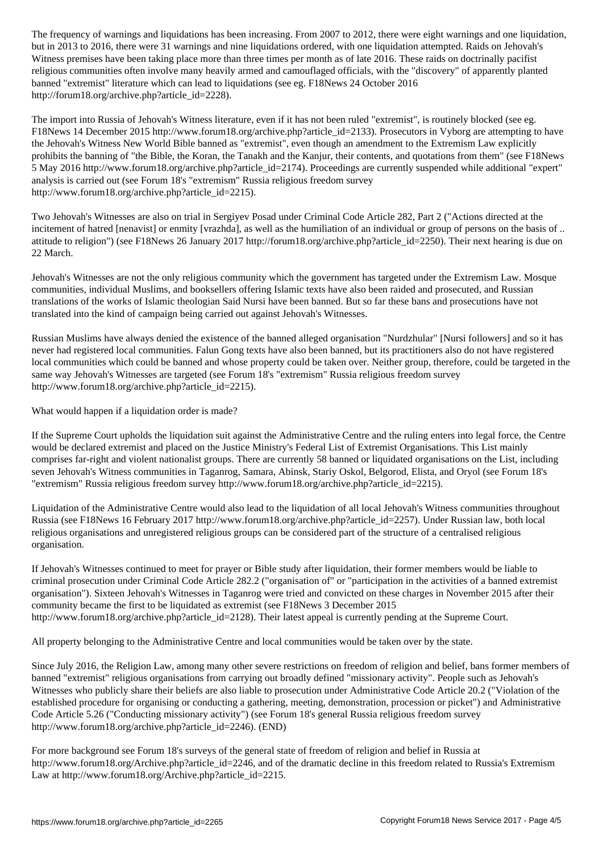but in 2013 to 2016, there were 31 warnings and nine liquidations ordered, with one liquidation attempted. Raids on Jehovah's Witness premises have been taking place more than three times per month as of late 2016. These raids on doctrinally pacifist religious communities often involve many heavily armed and camouflaged officials, with the "discovery" of apparently planted banned "extremist" literature which can lead to liquidations (see eg. F18News 24 October 2016 http://forum18.org/archive.php?article\_id=2228).

The import into Russia of Jehovah's Witness literature, even if it has not been ruled "extremist", is routinely blocked (see eg. F18News 14 December 2015 http://www.forum18.org/archive.php?article\_id=2133). Prosecutors in Vyborg are attempting to have the Jehovah's Witness New World Bible banned as "extremist", even though an amendment to the Extremism Law explicitly prohibits the banning of "the Bible, the Koran, the Tanakh and the Kanjur, their contents, and quotations from them" (see F18News 5 May 2016 http://www.forum18.org/archive.php?article\_id=2174). Proceedings are currently suspended while additional "expert" analysis is carried out (see Forum 18's "extremism" Russia religious freedom survey http://www.forum18.org/archive.php?article\_id=2215).

Two Jehovah's Witnesses are also on trial in Sergiyev Posad under Criminal Code Article 282, Part 2 ("Actions directed at the incitement of hatred [nenavist] or enmity [vrazhda], as well as the humiliation of an individual or group of persons on the basis of .. attitude to religion") (see F18News 26 January 2017 http://forum18.org/archive.php?article\_id=2250). Their next hearing is due on 22 March.

Jehovah's Witnesses are not the only religious community which the government has targeted under the Extremism Law. Mosque communities, individual Muslims, and booksellers offering Islamic texts have also been raided and prosecuted, and Russian translations of the works of Islamic theologian Said Nursi have been banned. But so far these bans and prosecutions have not translated into the kind of campaign being carried out against Jehovah's Witnesses.

Russian Muslims have always denied the existence of the banned alleged organisation "Nurdzhular" [Nursi followers] and so it has never had registered local communities. Falun Gong texts have also been banned, but its practitioners also do not have registered local communities which could be banned and whose property could be taken over. Neither group, therefore, could be targeted in the same way Jehovah's Witnesses are targeted (see Forum 18's "extremism" Russia religious freedom survey http://www.forum18.org/archive.php?article\_id=2215).

What would happen if a liquidation order is made?

If the Supreme Court upholds the liquidation suit against the Administrative Centre and the ruling enters into legal force, the Centre would be declared extremist and placed on the Justice Ministry's Federal List of Extremist Organisations. This List mainly comprises far-right and violent nationalist groups. There are currently 58 banned or liquidated organisations on the List, including seven Jehovah's Witness communities in Taganrog, Samara, Abinsk, Stariy Oskol, Belgorod, Elista, and Oryol (see Forum 18's "extremism" Russia religious freedom survey http://www.forum18.org/archive.php?article\_id=2215).

Liquidation of the Administrative Centre would also lead to the liquidation of all local Jehovah's Witness communities throughout Russia (see F18News 16 February 2017 http://www.forum18.org/archive.php?article\_id=2257). Under Russian law, both local religious organisations and unregistered religious groups can be considered part of the structure of a centralised religious organisation.

If Jehovah's Witnesses continued to meet for prayer or Bible study after liquidation, their former members would be liable to criminal prosecution under Criminal Code Article 282.2 ("organisation of" or "participation in the activities of a banned extremist organisation"). Sixteen Jehovah's Witnesses in Taganrog were tried and convicted on these charges in November 2015 after their community became the first to be liquidated as extremist (see F18News 3 December 2015 http://www.forum18.org/archive.php?article\_id=2128). Their latest appeal is currently pending at the Supreme Court.

All property belonging to the Administrative Centre and local communities would be taken over by the state.

Since July 2016, the Religion Law, among many other severe restrictions on freedom of religion and belief, bans former members of banned "extremist" religious organisations from carrying out broadly defined "missionary activity". People such as Jehovah's Witnesses who publicly share their beliefs are also liable to prosecution under Administrative Code Article 20.2 ("Violation of the established procedure for organising or conducting a gathering, meeting, demonstration, procession or picket") and Administrative Code Article 5.26 ("Conducting missionary activity") (see Forum 18's general Russia religious freedom survey http://www.forum18.org/archive.php?article\_id=2246). (END)

For more background see Forum 18's surveys of the general state of freedom of religion and belief in Russia at http://www.forum18.org/Archive.php?article\_id=2246, and of the dramatic decline in this freedom related to Russia's Extremism Law at http://www.forum18.org/Archive.php?article\_id=2215.